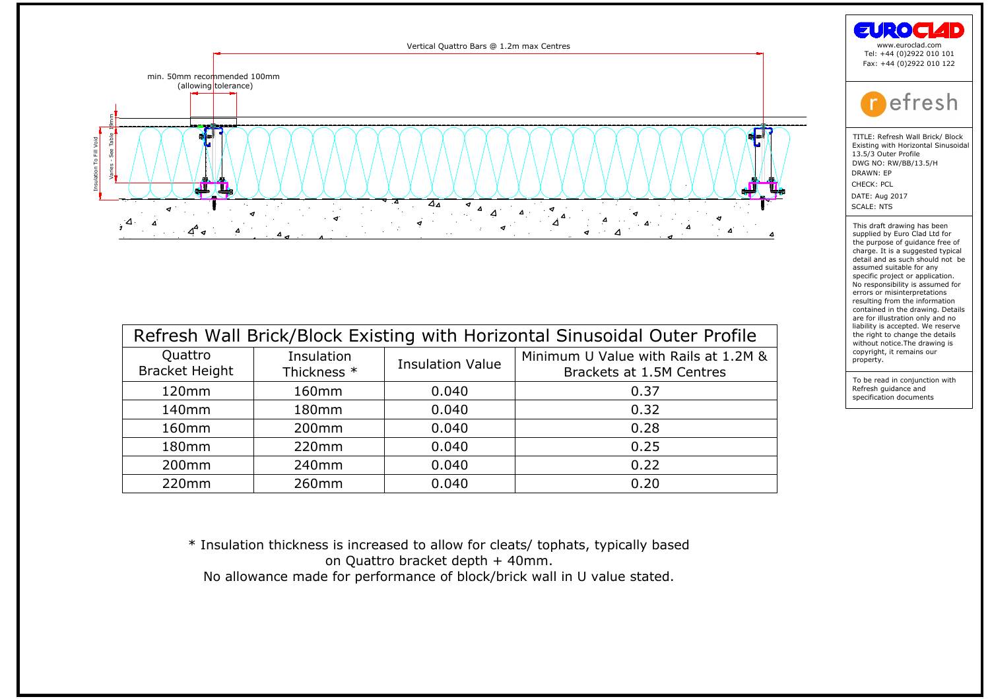

| Quattro<br><b>Bracket Height</b> | Insulation<br>Thickness * | <b>Insulation Value</b> | Minimum U Value with Rails at 1.2M &<br>Brackets at 1.5M Centres |
|----------------------------------|---------------------------|-------------------------|------------------------------------------------------------------|
| 120mm                            | 160mm                     | 0.040                   | 0.37                                                             |
| 140mm                            | 180mm                     | 0.040                   | 0.32                                                             |
| 160mm                            | 200 <sub>mm</sub>         | 0.040                   | 0.28                                                             |
| 180mm                            | 220mm                     | 0.040                   | 0.25                                                             |
| 200 <sub>mm</sub>                | 240 <sub>mm</sub>         | 0.040                   | 0.22                                                             |
| 220mm                            | 260mm                     | 0.040                   | 0.20                                                             |
|                                  |                           |                         |                                                                  |

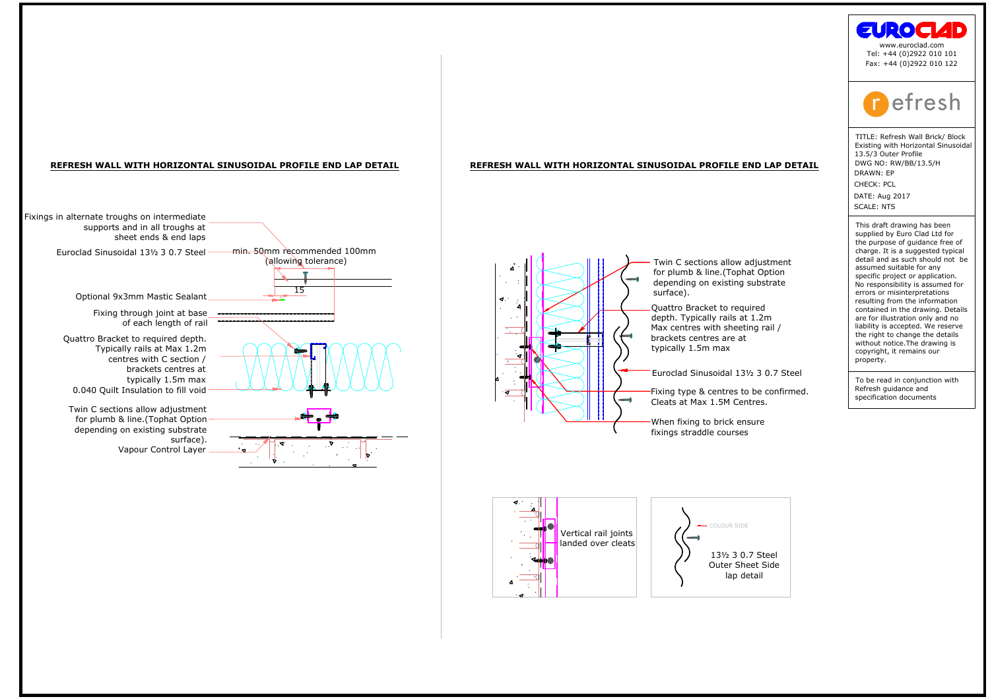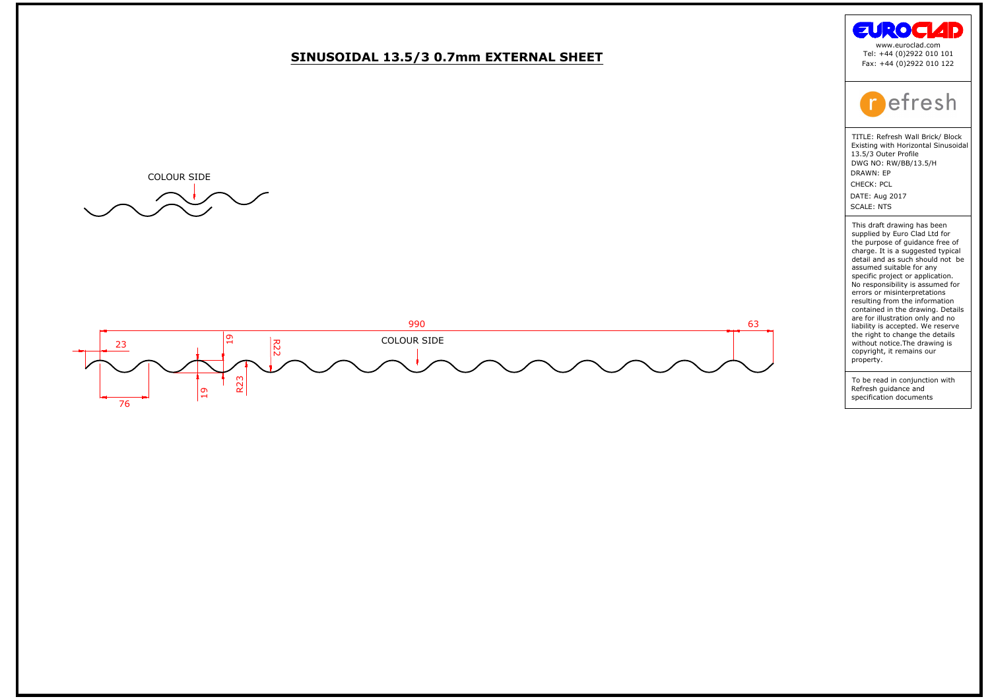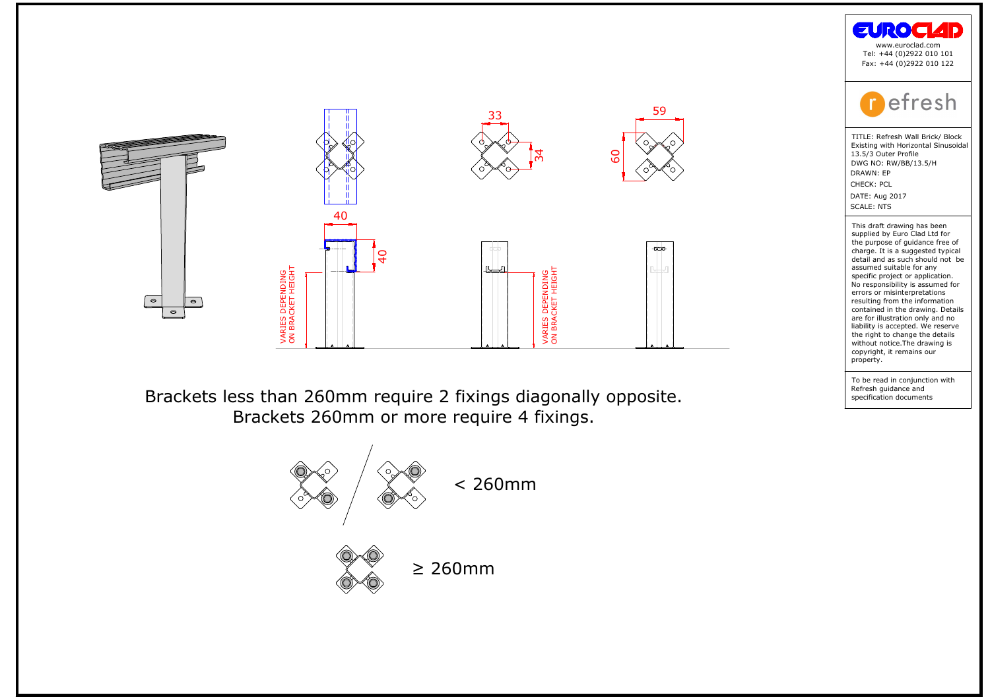





the purpose of guidance free compare of guidance free charge. It is a suggested typic<br>detail and as such should not<br>assumed suitable for any<br>conjunction project or application.<br>No responsibility is assumed ferrors or misin charge: it is a suggest<br>detail and as such shassumed suitable for<br>assumed suitable for applications of a proportion of<br>No responsibility is assement and the draw<br>contained in the draw<br>and in the draw without notice. The dr